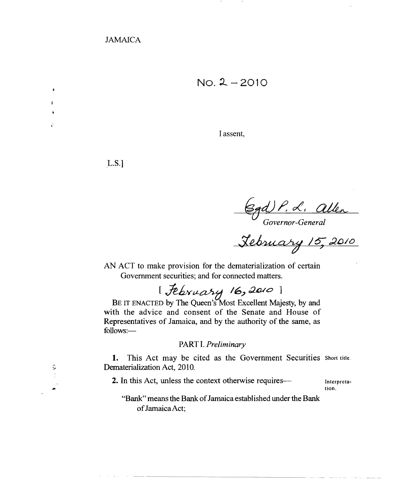$No. 2 - 2010$ 

I assent,

LS.]

.

 $\ddot{ }$ 

-,

Governor-General<br>Governor-General<br><u>Lebruary 15, 2010</u>

AN ACT to make provision for the dematerialization of certain Government securities; and for connected matters.

[*february 16,2010*]

BE IT ENACTED by The Queen's Most Excellent Majesty, by and with the advice and consent of the Senate and House of Representatives of Jamaica, and by the authority of the same, as follows:

## PART I. *Preliminary*

1. This Act may be cited as the Government Securities Short title. Dematerialization Act, 2010.

2. In this Act, unless the context otherwise requires- Interpreta-

tion.

"Bank" means the Bank of Jamaica established under the Bank of Jamaica Act;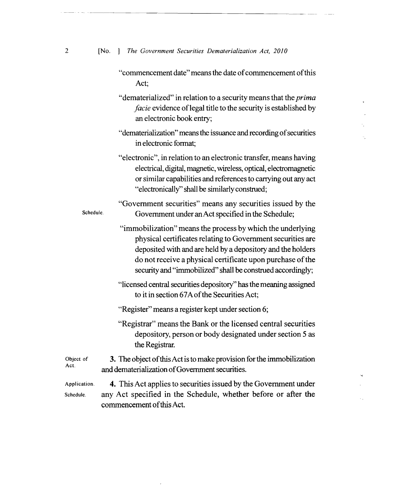| $\mathbf{2}$ |  |  |  |  |  | [No. ] The Government Securities Dematerialization Act, 2010 |  |  |
|--------------|--|--|--|--|--|--------------------------------------------------------------|--|--|
|--------------|--|--|--|--|--|--------------------------------------------------------------|--|--|

 $\downarrow$  $\overline{a}$  $\mathcal{L}^{\pm}$ 

÷.

 $\mathbf{M}$  $\mathcal{L}^{\pm}$ 

 $\epsilon_{\rm A}$ 

|                           | "commencement date" means the date of commencement of this<br>Act;                                                                                                                                                                                                                                                   |  |  |  |  |
|---------------------------|----------------------------------------------------------------------------------------------------------------------------------------------------------------------------------------------------------------------------------------------------------------------------------------------------------------------|--|--|--|--|
|                           | "dematerialized" in relation to a security means that the <i>prima</i><br><i>facie</i> evidence of legal title to the security is established by<br>an electronic book entry;                                                                                                                                        |  |  |  |  |
|                           | "dematerialization" means the issuance and recording of securities<br>in electronic format:                                                                                                                                                                                                                          |  |  |  |  |
|                           | "electronic", in relation to an electronic transfer, means having<br>electrical, digital, magnetic, wireless, optical, electromagnetic<br>or similar capabilities and references to carrying out any act<br>"electronically" shall be similarly construed;                                                           |  |  |  |  |
| Schedule.                 | "Government securities" means any securities issued by the<br>Government under an Act specified in the Schedule;                                                                                                                                                                                                     |  |  |  |  |
|                           | "immobilization" means the process by which the underlying<br>physical certificates relating to Government securities are<br>deposited with and are held by a depository and the holders<br>do not receive a physical certificate upon purchase of the<br>security and "immobilized" shall be construed accordingly; |  |  |  |  |
|                           | "licensed central securities depository" has the meaning assigned<br>to it in section 67A of the Securities Act;                                                                                                                                                                                                     |  |  |  |  |
|                           | "Register" means a register kept under section 6;                                                                                                                                                                                                                                                                    |  |  |  |  |
|                           | "Registrar" means the Bank or the licensed central securities<br>depository, person or body designated under section 5 as<br>the Registrar.                                                                                                                                                                          |  |  |  |  |
| Object of<br>Act.         | 3. The object of this Act is to make provision for the immobilization<br>and dematerialization of Government securities.                                                                                                                                                                                             |  |  |  |  |
| Application.<br>Schedule. | 4. This Act applies to securities issued by the Government under<br>any Act specified in the Schedule, whether before or after the<br>commencement of this Act.                                                                                                                                                      |  |  |  |  |

 $\mathcal{A}$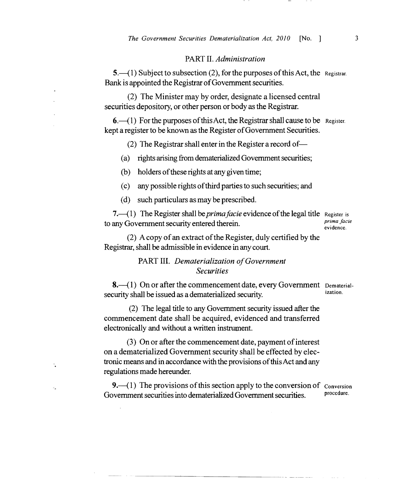### PART II. *Administration*

 $5.$   $-$ (1) Subject to subsection (2), for the purposes of this Act, the Registrar. Bank is appointed the Registrar of Government securities.

(2) The Minister may by order, designate a licensed central securities depository, or other person or body as the Registrar.

 $6.$   $-$ (1) For the purposes of this Act, the Registrar shall cause to be Register. kept a register to be known as the Register of Government Securities.

(2) The Registrar shall enter in the Register a record of

- (a) rights arising from dematerialized Government securities;
- (b) holders of these rights at any given time;
- (c) any possible rights ofthird parties to such securities; and
- (d) such particulars as may be prescribed.

7.—(1) The Register shall be *prima facie* evidence of the legal title Register is<br>any Government coverity ontered therein to any Government security entered therein. **Example 1** *prima fact*ering the evidence.

(2) A copy of an extract of the Register, duly certified by the Registrar, shall be admissible in evidence in any court.

# PART III. Dematerialization of Government *Securities*

 $8.-(1)$  On or after the commencement date, every Government Dematerialsecurity shall be issued as a dematerialized security.

(2) The legal title to any Government security issued after the commencement date shall be acquired, evidenced and transferred electronically and without a written instrument.

 $(3)$  On or after the commencement date, payment of interest on a dematerialized Government security shall be effected by electronic means and in accordance with the provisions of this Act and any regulations made hereunder.

Y.

и.

9. $-$ (1) The provisions of this section apply to the conversion of  $\frac{1}{2}$  Conversion Government securities into dematerialized Government securities.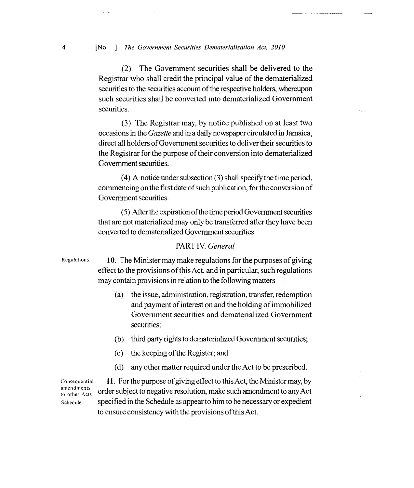4 [No. ] *The Government Securities Dematerialization Act, 2010* 

(2) The Government securities shall be delivered to the Registrar who shall credit the principal value of the dematerialized securities to the securities account of the respective holders, whereupon such securities shall be converted into dematerialized Government securities.

(3) The Registrar may, by notice published on at least two occasions in the *Gazette* and in a daily newspaper circulated in Jamaica, direct all holders of Government securities to deliver their securities to the Registrar for the purpose of their conversion into dematerialized Government securities.

 $(4)$  A notice under subsection  $(3)$  shall specify the time period, commencing on the first date of such publication, for the conversion of Government securities.

 $(5)$  After the expiration of the time period Government securities that are not materialized may only be transferred after they have been converted to dematerialized Government securities.

## PART IV. *General*

Regulations  $10.$  The Minister may make regulations for the purposes of giving effect to the provisions ofthis Act, and in particular, such regulations may contain provisions in relation to the following matters

- (a) the issue, administration, registration, transfer, redemption and payment of interest on and the holding of immobilized Government securities and dematerialized Government securities;
- (b) third party rights to dematerialized Government securities;
- (c) the keeping ofthe Register; and
- (d) any other matter required under the Act to be prescribed.

Consequential 11. For the purpose of giving effect to this Act, the Minister may, by amendments  $\frac{amendments}{\text{order}}$  order subject to negative resolution, make such amendment to any Act Sehedule specified in the Schedule as appear to him to be necessary or expedient to ensure consistency with the provisions ofthis Act.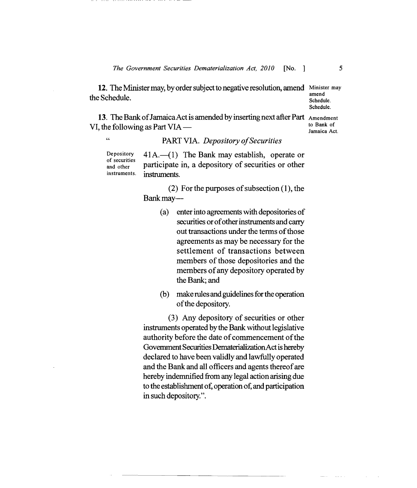12. The Minister may, by order subject to negative resolution, amend Minister may the Schedule. The Schedule amend schedule.

Schedule.

13. The Bank of Jamaica Act is amended by inserting next after Part  $\Delta m$  amendment<br>to Bank of VI, the following as Part VIA  $-$ Jamaica Act.

" PART VIA. *Depository ofSecurities* 

Depository  $41A$ .-(1) The Bank may establish, operate or of securities participate in, a depository of securities or other instruments. instruments.

> (2) For the purposes of subsection  $(1)$ , the Bankmay

- (a) enter into agreements with depositories of securities or of other instruments and carry out transactions under the terms of those agreements as may be necessary for the settlement of transactions between members of those depositories and the members of any depository operated by the Bank; and
- (b) make rules and guidelines for the operation of the depository.

(3) Any depository of securities or other instruments operated by the Bank without legislative authority before the date of commencement of the Government Securities DematerializationActishereby declared to have been validly and lawfully operated and the Bank and all officers and agents thereof are hereby indemnified from any legal action arising due to the establishment of, operation of, and participation in such depository.".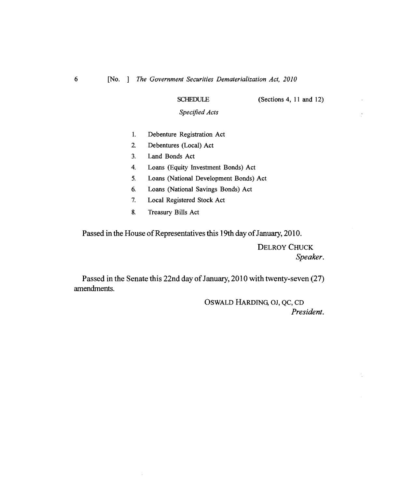SCHEDULE (Sections 4, 11 and 12)

*Specified Acts* 

- 1. Debenture Registration Act
- 2. Debentures (Local) Act
- 3. Land Bonds Act
- 4. Loans (Equity Investment Bonds) Act
- 5. Loans (National Development Bonds) Act
- 6. Loans (National Savings Bonds) Act
- 7. Local Registered Stock Act
- 8. Treasury Bills Act

÷,

Passed in the House of Representatives this 19th day of January, 2010.

DELROY CHUCK *Speaker.* 

t

Passed in the Senate this 22nd day of January, 2010 with twenty-seven (27) amendments.

> OSWALD HARDING, OJ, QC, CD *President.*